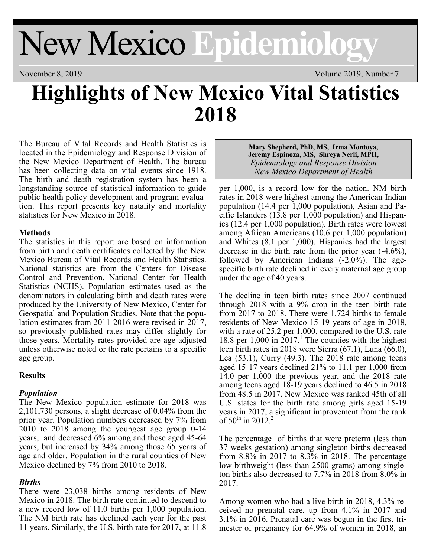# New Mexico **Epidemiology**

November 8, 2019 Volume 2019, Number 7

## **Highlights of New Mexico Vital Statistics 2018**

The Bureau of Vital Records and Health Statistics is located in the Epidemiology and Response Division of the New Mexico Department of Health. The bureau has been collecting data on vital events since 1918. The birth and death registration system has been a longstanding source of statistical information to guide public health policy development and program evaluation. This report presents key natality and mortality statistics for New Mexico in 2018.

#### **Methods**

The statistics in this report are based on information from birth and death certificates collected by the New Mexico Bureau of Vital Records and Health Statistics. National statistics are from the Centers for Disease Control and Prevention, National Center for Health Statistics (NCHS). Population estimates used as the denominators in calculating birth and death rates were produced by the University of New Mexico, Center for Geospatial and Population Studies. Note that the population estimates from 2011-2016 were revised in 2017, so previously published rates may differ slightly for those years. Mortality rates provided are age-adjusted unless otherwise noted or the rate pertains to a specific age group.

#### **Results**

#### *Population*

The New Mexico population estimate for 2018 was 2,101,730 persons, a slight decrease of 0.04% from the prior year. Population numbers decreased by 7% from 2010 to 2018 among the youngest age group 0-14 years, and decreased 6% among and those aged 45-64 years, but increased by 34% among those 65 years of age and older. Population in the rural counties of New Mexico declined by 7% from 2010 to 2018.

### *Births*

There were 23,038 births among residents of New Mexico in 2018. The birth rate continued to descend to a new record low of 11.0 births per 1,000 population. The NM birth rate has declined each year for the past 11 years. Similarly, the U.S. birth rate for 2017, at 11.8

#### **Mary Shepherd, PhD, MS, Irma Montoya, Jeremy Espinoza, MS, Shreya Nerli, MPH,**  *Epidemiology and Response Division New Mexico Department of Health*

per 1,000, is a record low for the nation. NM birth rates in 2018 were highest among the American Indian population (14.4 per 1,000 population), Asian and Pacific Islanders (13.8 per 1,000 population) and Hispanics (12.4 per 1,000 population). Birth rates were lowest among African Americans (10.6 per 1,000 population) and Whites (8.1 per 1,000). Hispanics had the largest decrease in the birth rate from the prior year (-4.6%), followed by American Indians  $(-2.0\%)$ . The agespecific birth rate declined in every maternal age group under the age of 40 years.

The decline in teen birth rates since 2007 continued through 2018 with a 9% drop in the teen birth rate from 2017 to 2018. There were 1,724 births to female residents of New Mexico 15-19 years of age in 2018, with a rate of 25.2 per 1,000, compared to the U.S. rate 18.8 per  $1,000$  in  $2017<sup>1</sup>$ . The counties with the highest teen birth rates in 2018 were Sierra (67.1), Luna (66.0), Lea (53.1), Curry (49.3). The 2018 rate among teens aged 15-17 years declined 21% to 11.1 per 1,000 from 14.0 per 1,000 the previous year, and the 2018 rate among teens aged 18-19 years declined to 46.5 in 2018 from 48.5 in 2017. New Mexico was ranked 45th of all U.S. states for the birth rate among girls aged 15-19 years in 2017, a significant improvement from the rank of  $50^{th}$  in 2012.<sup>2</sup>

The percentage of births that were preterm (less than 37 weeks gestation) among singleton births decreased from 8.8% in 2017 to 8.3% in 2018. The percentage low birthweight (less than 2500 grams) among singleton births also decreased to 7.7% in 2018 from 8.0% in 2017.

Among women who had a live birth in 2018, 4.3% received no prenatal care, up from 4.1% in 2017 and 3.1% in 2016. Prenatal care was begun in the first trimester of pregnancy for 64.9% of women in 2018, an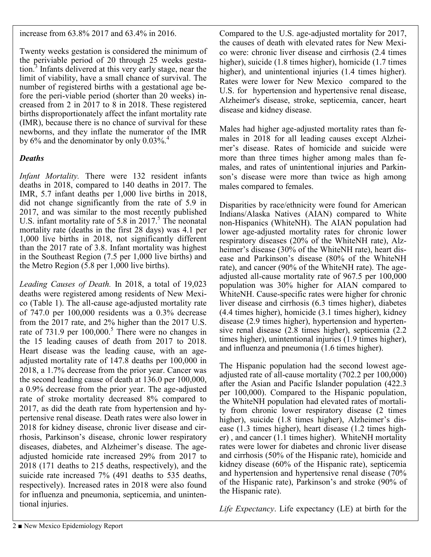increase from 63.8% 2017 and 63.4% in 2016.

Twenty weeks gestation is considered the minimum of the periviable period of 20 through 25 weeks gestation.<sup>3</sup> Infants delivered at this very early stage, near the limit of viability, have a small chance of survival. The number of registered births with a gestational age before the peri-viable period (shorter than 20 weeks) increased from 2 in 2017 to 8 in 2018. These registered births disproportionately affect the infant mortality rate (IMR), because there is no chance of survival for these newborns, and they inflate the numerator of the IMR by  $6\%$  and the denominator by only  $0.03\%$ .<sup>4</sup>

### *Deaths*

*Infant Mortality.* There were 132 resident infants deaths in 2018, compared to 140 deaths in 2017. The IMR, 5.7 infant deaths per 1,000 live births in 2018, did not change significantly from the rate of 5.9 in 2017, and was similar to the most recently published U.S. infant mortality rate of 5.8 in  $2017<sup>5</sup>$ . The neonatal mortality rate (deaths in the first 28 days) was 4.1 per 1,000 live births in 2018, not significantly different than the 2017 rate of 3.8. Infant mortality was highest in the Southeast Region (7.5 per 1,000 live births) and the Metro Region (5.8 per 1,000 live births).

*Leading Causes of Death.* In 2018, a total of 19,023 deaths were registered among residents of New Mexico (Table 1). The all-cause age-adjusted mortality rate of 747.0 per 100,000 residents was a 0.3% decrease from the 2017 rate, and 2% higher than the 2017 U.S. rate of 731.9 per 100,000.<sup>5</sup> There were no changes in the 15 leading causes of death from 2017 to 2018. Heart disease was the leading cause, with an ageadjusted mortality rate of 147.8 deaths per 100,000 in 2018, a 1.7% decrease from the prior year. Cancer was the second leading cause of death at 136.0 per 100,000, a 0.9% decrease from the prior year. The age-adjusted rate of stroke mortality decreased 8% compared to 2017, as did the death rate from hypertension and hypertensive renal disease. Death rates were also lower in 2018 for kidney disease, chronic liver disease and cirrhosis, Parkinson's disease, chronic lower respiratory diseases, diabetes, and Alzheimer's disease. The ageadjusted homicide rate increased 29% from 2017 to 2018 (171 deaths to 215 deaths, respectively), and the suicide rate increased 7% (491 deaths to 535 deaths, respectively). Increased rates in 2018 were also found for influenza and pneumonia, septicemia, and unintentional injuries.

Compared to the U.S. age-adjusted mortality for 2017, the causes of death with elevated rates for New Mexico were: chronic liver disease and cirrhosis (2.4 times higher), suicide (1.8 times higher), homicide (1.7 times higher), and unintentional injuries (1.4 times higher). Rates were lower for New Mexico compared to the U.S. for hypertension and hypertensive renal disease, Alzheimer's disease, stroke, septicemia, cancer, heart disease and kidney disease.

Males had higher age-adjusted mortality rates than females in 2018 for all leading causes except Alzheimer's disease. Rates of homicide and suicide were more than three times higher among males than females, and rates of unintentional injuries and Parkinson's disease were more than twice as high among males compared to females.

Disparities by race/ethnicity were found for American Indians/Alaska Natives (AIAN) compared to White non-Hispanics (WhiteNH). The AIAN population had lower age-adjusted mortality rates for chronic lower respiratory diseases (20% of the WhiteNH rate), Alzheimer's disease (30% of the WhiteNH rate), heart disease and Parkinson's disease (80% of the WhiteNH rate), and cancer (90% of the WhiteNH rate). The ageadjusted all-cause mortality rate of 967.5 per 100,000 population was 30% higher for AIAN compared to WhiteNH. Cause-specific rates were higher for chronic liver disease and cirrhosis (6.3 times higher), diabetes (4.4 times higher), homicide (3.1 times higher), kidney disease (2.9 times higher), hypertension and hypertensive renal disease (2.8 times higher), septicemia (2.2 times higher), unintentional injuries (1.9 times higher), and influenza and pneumonia (1.6 times higher).

The Hispanic population had the second lowest ageadjusted rate of all-cause mortality (702.2 per 100,000) after the Asian and Pacific Islander population (422.3 per 100,000). Compared to the Hispanic population, the WhiteNH population had elevated rates of mortality from chronic lower respiratory disease (2 times higher), suicide (1.8 times higher), Alzheimer's disease (1.3 times higher), heart disease (1.2 times higher) , and cancer (1.1 times higher). WhiteNH mortality rates were lower for diabetes and chronic liver disease and cirrhosis (50% of the Hispanic rate), homicide and kidney disease (60% of the Hispanic rate), septicemia and hypertension and hypertensive renal disease (70% of the Hispanic rate), Parkinson's and stroke (90% of the Hispanic rate).

*Life Expectancy*. Life expectancy (LE) at birth for the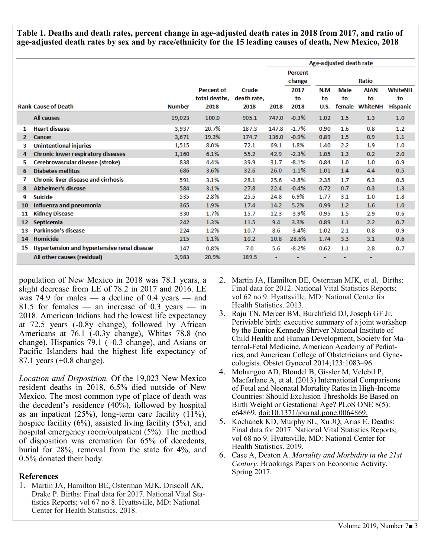**Table 1. Deaths and death rates, percent change in age-adjusted death rates in 2018 from 2017, and ratio of age-adjusted death rates by sex and by race/ethnicity for the 15 leading causes of death, New Mexico, 2018**

|                            |                                             |               |                   |             | Age-adjusted death rate |         |             |             |                |                 |
|----------------------------|---------------------------------------------|---------------|-------------------|-------------|-------------------------|---------|-------------|-------------|----------------|-----------------|
|                            |                                             |               |                   |             |                         | Percent |             |             |                |                 |
|                            |                                             |               |                   |             |                         | change  |             |             | <b>Ratio</b>   |                 |
|                            |                                             |               | <b>Percent of</b> | Crude       |                         | 2017    | N.M         | <b>Male</b> | <b>AIAN</b>    | <b>WhiteNH</b>  |
|                            |                                             |               | total deaths.     | death rate, |                         | to      | to          | to          | to             | to              |
| <b>Rank Cause of Death</b> |                                             | <b>Number</b> | 2018              | 2018        | 2018                    | 2018    | <b>U.S.</b> |             | female WhiteNH | <b>Hispanic</b> |
|                            | <b>All causes</b>                           | 19,023        | 100.0             | 905.1       | 747.0                   | $-0.3%$ | 1.02        | 1.5         | 1.3            | 1.0             |
| 1                          | <b>Heart disease</b>                        | 3,937         | 20.7%             | 187.3       | 147.8                   | $-1.7%$ | 0.90        | 1.6         | 0.8            | 1.2             |
| $\mathbf{2}$               | Cancer                                      | 3,671         | 19.3%             | 174.7       | 136.0                   | $-0.9%$ | 0.89        | 1.5         | 0.9            | 1.1             |
| з                          | <b>Unintentional injuries</b>               | 1,515         | 8.0%              | 72.1        | 69.1                    | 1.8%    | 1.40        | 2.2         | 1.9            | 1.0             |
| 4                          | Chronic lower respiratory diseases          | 1,160         | 6.1%              | 55.2        | 42.9                    | $-2.3%$ | 1.05        | 1.3         | 0.2            | 2.0             |
| 5.                         | Cerebrovascular disease (stroke)            | 838           | 4.4%              | 39.9        | 31.7                    | $-8.1%$ | 0.84        | 1.0         | 1.0            | 0.9             |
| 6                          | <b>Diabetes mellitus</b>                    | 686           | 3.6%              | 32.6        | 26.0                    | $-1.1%$ | 1.01        | 1.4         | 4.4            | 0.5             |
|                            | <b>Chronic liver disease and cirrhosis</b>  | 591           | 3.1%              | 28.1        | 25.6                    | $-3.8%$ | 2.35        | 1.7         | 6.3            | 0.5             |
| 8                          | <b>Alzheimer's disease</b>                  | 584           | 3.1%              | 27.8        | 22.4                    | $-0.4%$ | 0.72        | 0.7         | 0.3            | 1.3             |
| 9                          | <b>Suicide</b>                              | 535           | 2.8%              | 25.5        | 24.8                    | 6.9%    | 1.77        | 3.1         | 1.0            | 1.8             |
| 10                         | Influenza and pneumonia                     | 365           | 1.9%              | 17.4        | 14.2                    | 5.2%    | 0.99        | 1.2         | 1.6            | 1.0             |
| 11                         | <b>Kidney Disease</b>                       | 330           | 1.7%              | 15.7        | 12.3                    | $-3.9%$ | 0.95        | 1.5         | 2.9            | 0.6             |
| 12                         | Septicemia                                  | 242           | 1.3%              | 11.5        | 9.4                     | 3.3%    | 0.89        | 1.1         | 2.2            | 0.7             |
| 13                         | <b>Parkinson's disease</b>                  | 224           | 1.2%              | 10.7        | 8.6                     | $-3.4%$ | 1.02        | 2.1         | 0.8            | 0.9             |
| 14                         | Homicide                                    | 215           | 1.1%              | 10.2        | 10.8                    | 28.6%   | 1.74        | 3.3         | 3.1            | 0.6             |
| 15                         | Hypertension and hypertensive renal disease | 147           | 0.8%              | 7.0         | 5.6                     | $-8.2%$ | 0.62        | 1.1         | 2.8            | 0.7             |
|                            | All other causes (residual)                 | 3,983         | 20.9%             | 189.5       |                         |         |             |             |                |                 |

population of New Mexico in 2018 was 78.1 years, a slight decrease from LE of 78.2 in 2017 and 2016. LE was 74.9 for males — a decline of 0.4 years — and 81.5 for females — an increase of  $0.3$  years — in 2018. American Indians had the lowest life expectancy at 72.5 years (-0.8y change), followed by African Americans at 76.1 (-0.3y change), Whites 78.8 (no change), Hispanics 79.1 (+0.3 change), and Asians or Pacific Islanders had the highest life expectancy of 87.1 years (+0.8 change).

*Location and Disposition.* Of the 19,023 New Mexico resident deaths in 2018, 6.5% died outside of New Mexico. The most common type of place of death was the decedent's residence (40%), followed by hospital as an inpatient (25%), long-term care facility (11%), hospice facility  $(6\%)$ , assisted living facility  $(5\%)$ , and hospital emergency room/outpatient (5%). The method of disposition was cremation for 65% of decedents, burial for 28%, removal from the state for 4%, and 0.5% donated their body.

#### **References**

1. Martin JA, Hamilton BE, Osterman MJK, Driscoll AK, Drake P. Births: Final data for 2017. National Vital Statistics Reports; vol 67 no 8. Hyattsville, MD: National Center for Health Statistics. 2018.

- 2. Martin JA, Hamilton BE, Osterman MJK, et al. Births: Final data for 2012. National Vital Statistics Reports; vol 62 no 9. Hyattsville, MD: National Center for Health Statistics. 2013.
- 3. Raju TN, Mercer BM, Burchfield DJ, Joseph GF Jr. Periviable birth: executive summary of a joint workshop by the Eunice Kennedy Shriver National Institute of Child Health and Human Development, Society for Maternal-Fetal Medicine, American Academy of Pediatrics, and American College of Obstetricians and Gynecologists. Obstet Gynecol 2014;123:1083–96.
- 4. Mohangoo AD, Blondel B, Gissler M, Velebil P, Macfarlane A, et al. (2013) International Comparisons of Fetal and Neonatal Mortality Rates in High-Income Countries: Should Exclusion Thresholds Be Based on Birth Weight or Gestational Age? PLoS ONE 8(5): e64869. doi:10.1371/journal.pone.0064869.
- 5. Kochanek KD, Murphy SL, Xu JQ, Arias E. Deaths: Final data for 2017. National Vital Statistics Reports; vol 68 no 9. Hyattsville, MD: National Center for Health Statistics. 2019.
- 6. Case A, Deaton A. *Mortality and Morbidity in the 21st Century*. Brookings Papers on Economic Activity. Spring 2017.